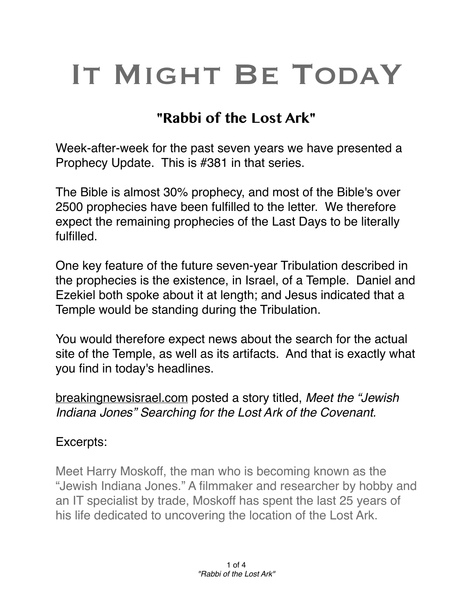## IT MIGHT BE TODAY

## **"Rabbi of the Lost Ark"**

Week-after-week for the past seven years we have presented a Prophecy Update. This is #381 in that series.

The Bible is almost 30% prophecy, and most of the Bible's over 2500 prophecies have been fulfilled to the letter. We therefore expect the remaining prophecies of the Last Days to be literally fulfilled.

One key feature of the future seven-year Tribulation described in the prophecies is the existence, in Israel, of a Temple. Daniel and Ezekiel both spoke about it at length; and Jesus indicated that a Temple would be standing during the Tribulation.

You would therefore expect news about the search for the actual site of the Temple, as well as its artifacts. And that is exactly what you find in today's headlines.

[breakingnewsisrael.com](http://breakingnewsisrael.com) posted a story titled, *Meet the "Jewish Indiana Jones" Searching for the Lost Ark of the Covenant.*

## Excerpts:

Meet Harry Moskoff, the man who is becoming known as the "Jewish Indiana Jones." A filmmaker and researcher by hobby and an IT specialist by trade, Moskoff has spent the last 25 years of his life dedicated to uncovering the location of the Lost Ark.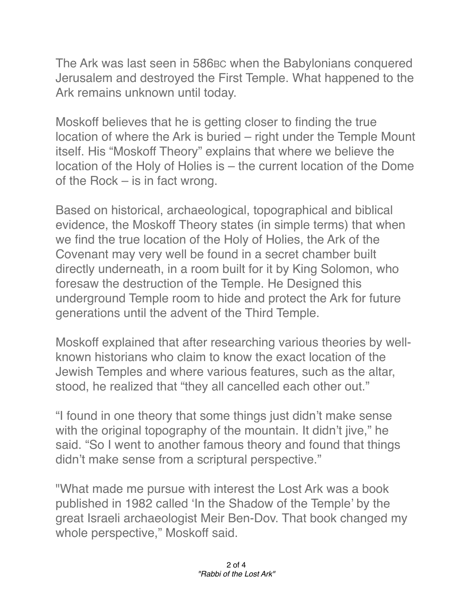The Ark was last seen in 586BC when the Babylonians conquered Jerusalem and destroyed the First Temple. What happened to the Ark remains unknown until today.

Moskoff believes that he is getting closer to finding the true location of where the Ark is buried – right under the Temple Mount itself. His "Moskoff Theory" explains that where we believe the location of the Holy of Holies is – the current location of the Dome of the Rock – is in fact wrong.

Based on historical, archaeological, topographical and biblical evidence, the Moskoff Theory states (in simple terms) that when we find the true location of the Holy of Holies, the Ark of the Covenant may very well be found in a secret chamber built directly underneath, in a room built for it by King Solomon, who foresaw the destruction of the Temple. He Designed this underground Temple room to hide and protect the Ark for future generations until the advent of the Third Temple.

Moskoff explained that after researching various theories by wellknown historians who claim to know the exact location of the Jewish Temples and where various features, such as the altar, stood, he realized that "they all cancelled each other out."

"I found in one theory that some things just didn't make sense with the original topography of the mountain. It didn't jive," he said. "So I went to another famous theory and found that things didn't make sense from a scriptural perspective."

"What made me pursue with interest the Lost Ark was a book published in 1982 called 'In the Shadow of the Temple' by the great Israeli archaeologist Meir Ben-Dov. That book changed my whole perspective," Moskoff said.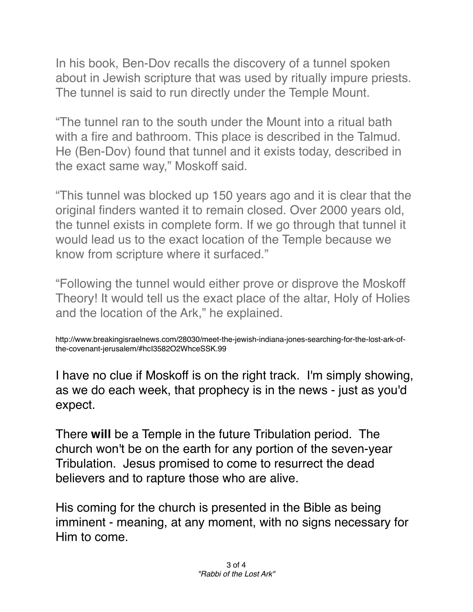In his book, Ben-Dov recalls the discovery of a tunnel spoken about in Jewish scripture that was used by ritually impure priests. The tunnel is said to run directly under the Temple Mount.

"The tunnel ran to the south under the Mount into a ritual bath with a fire and bathroom. This place is described in the Talmud. He (Ben-Dov) found that tunnel and it exists today, described in the exact same way," Moskoff said.

"This tunnel was blocked up 150 years ago and it is clear that the original finders wanted it to remain closed. Over 2000 years old, the tunnel exists in complete form. If we go through that tunnel it would lead us to the exact location of the Temple because we know from scripture where it surfaced."

"Following the tunnel would either prove or disprove the Moskoff Theory! It would tell us the exact place of the altar, Holy of Holies and the location of the Ark," he explained.

http://www.breakingisraelnews.com/28030/meet-the-jewish-indiana-jones-searching-for-the-lost-ark-ofthe-covenant-jerusalem/#hcI3582O2WhceSSK.99

I have no clue if Moskoff is on the right track. I'm simply showing, as we do each week, that prophecy is in the news - just as you'd expect.

There **will** be a Temple in the future Tribulation period. The church won't be on the earth for any portion of the seven-year Tribulation. Jesus promised to come to resurrect the dead believers and to rapture those who are alive.

His coming for the church is presented in the Bible as being imminent - meaning, at any moment, with no signs necessary for Him to come.